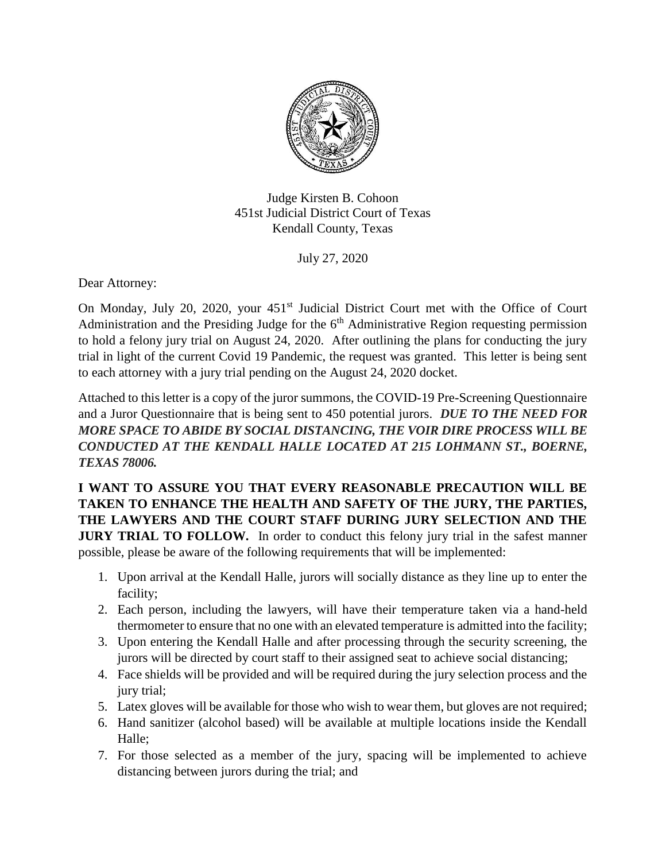

Judge Kirsten B. Cohoon 451st Judicial District Court of Texas Kendall County, Texas

July 27, 2020

Dear Attorney:

On Monday, July 20, 2020, your 451<sup>st</sup> Judicial District Court met with the Office of Court Administration and the Presiding Judge for the  $6<sup>th</sup>$  Administrative Region requesting permission to hold a felony jury trial on August 24, 2020. After outlining the plans for conducting the jury trial in light of the current Covid 19 Pandemic, the request was granted. This letter is being sent to each attorney with a jury trial pending on the August 24, 2020 docket.

Attached to this letter is a copy of the juror summons, the COVID-19 Pre-Screening Questionnaire and a Juror Questionnaire that is being sent to 450 potential jurors. *DUE TO THE NEED FOR MORE SPACE TO ABIDE BY SOCIAL DISTANCING, THE VOIR DIRE PROCESS WILL BE CONDUCTED AT THE KENDALL HALLE LOCATED AT 215 LOHMANN ST., BOERNE, TEXAS 78006.* 

**I WANT TO ASSURE YOU THAT EVERY REASONABLE PRECAUTION WILL BE TAKEN TO ENHANCE THE HEALTH AND SAFETY OF THE JURY, THE PARTIES, THE LAWYERS AND THE COURT STAFF DURING JURY SELECTION AND THE JURY TRIAL TO FOLLOW.** In order to conduct this felony jury trial in the safest manner possible, please be aware of the following requirements that will be implemented:

- 1. Upon arrival at the Kendall Halle, jurors will socially distance as they line up to enter the facility;
- 2. Each person, including the lawyers, will have their temperature taken via a hand-held thermometer to ensure that no one with an elevated temperature is admitted into the facility;
- 3. Upon entering the Kendall Halle and after processing through the security screening, the jurors will be directed by court staff to their assigned seat to achieve social distancing;
- 4. Face shields will be provided and will be required during the jury selection process and the jury trial;
- 5. Latex gloves will be available for those who wish to wear them, but gloves are not required;
- 6. Hand sanitizer (alcohol based) will be available at multiple locations inside the Kendall Halle;
- 7. For those selected as a member of the jury, spacing will be implemented to achieve distancing between jurors during the trial; and